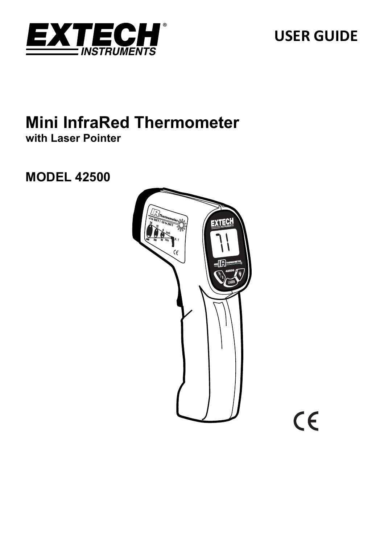

# **USER GUIDE**

## **Mini InfraRed Thermometer with Laser Pointer**

## **MODEL 42500**



CE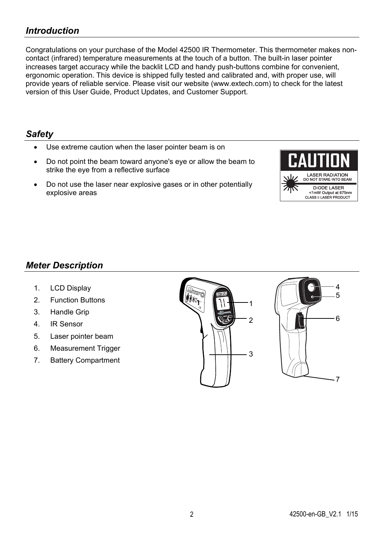## *Introduction*

Congratulations on your purchase of the Model 42500 IR Thermometer. This thermometer makes noncontact (infrared) temperature measurements at the touch of a button. The built-in laser pointer increases target accuracy while the backlit LCD and handy push-buttons combine for convenient, ergonomic operation. This device is shipped fully tested and calibrated and, with proper use, will provide years of reliable service. Please visit our website (www.extech.com) to check for the latest version of this User Guide, Product Updates, and Customer Support.

#### *Safety*

- Use extreme caution when the laser pointer beam is on
- Do not point the beam toward anyone's eye or allow the beam to strike the eye from a reflective surface
- Do not use the laser near explosive gases or in other potentially explosive areas



## *Meter Description*

- 1. LCD Display
- 2. Function Buttons
- 3. Handle Grip
- 4. IR Sensor
- 5. Laser pointer beam
- 6. Measurement Trigger
- 7. Battery Compartment



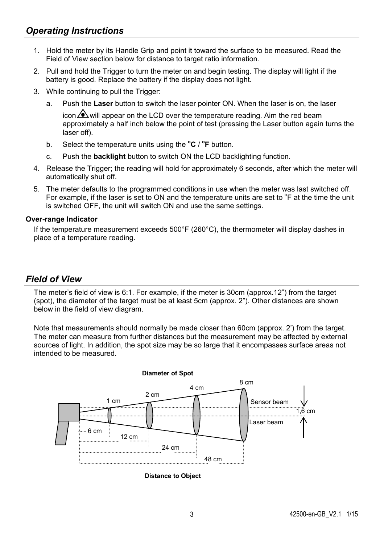- 1. Hold the meter by its Handle Grip and point it toward the surface to be measured. Read the Field of View section below for distance to target ratio information.
- 2. Pull and hold the Trigger to turn the meter on and begin testing. The display will light if the battery is good. Replace the battery if the display does not light.
- 3. While continuing to pull the Trigger:
	- a. Push the **Laser** button to switch the laser pointer ON. When the laser is on, the laser

icon  $\Delta$  will appear on the LCD over the temperature reading. Aim the red beam approximately a half inch below the point of test (pressing the Laser button again turns the laser off).

- b. Select the temperature units using the **<sup>o</sup> C** / **<sup>o</sup> F** button.
- c. Push the **backlight** button to switch ON the LCD backlighting function.
- 4. Release the Trigger; the reading will hold for approximately 6 seconds, after which the meter will automatically shut off.
- 5. The meter defaults to the programmed conditions in use when the meter was last switched off. For example, if the laser is set to ON and the temperature units are set to  $\degree$ F at the time the unit is switched OFF, the unit will switch ON and use the same settings.

#### **Over-range Indicator**

If the temperature measurement exceeds 500°F (260°C), the thermometer will display dashes in place of a temperature reading.

## *Field of View*

The meter's field of view is 6:1. For example, if the meter is 30cm (approx.12") from the target (spot), the diameter of the target must be at least 5cm (approx. 2"). Other distances are shown below in the field of view diagram.

Note that measurements should normally be made closer than 60cm (approx. 2') from the target. The meter can measure from further distances but the measurement may be affected by external sources of light. In addition, the spot size may be so large that it encompasses surface areas not intended to be measured.



**Distance to Object**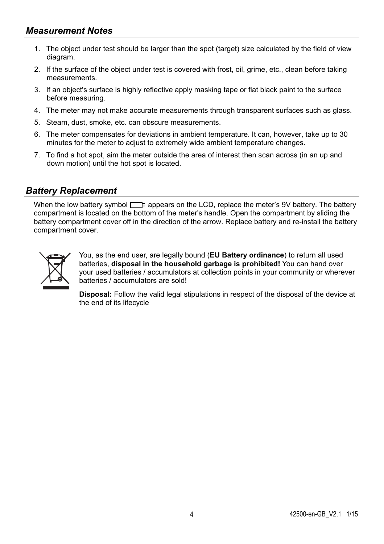- 1. The object under test should be larger than the spot (target) size calculated by the field of view diagram.
- 2. If the surface of the object under test is covered with frost, oil, grime, etc., clean before taking measurements.
- 3. If an object's surface is highly reflective apply masking tape or flat black paint to the surface before measuring.
- 4. The meter may not make accurate measurements through transparent surfaces such as glass.
- 5. Steam, dust, smoke, etc. can obscure measurements.
- 6. The meter compensates for deviations in ambient temperature. It can, however, take up to 30 minutes for the meter to adjust to extremely wide ambient temperature changes.
- 7. To find a hot spot, aim the meter outside the area of interest then scan across (in an up and down motion) until the hot spot is located.

#### *Battery Replacement*

When the low battery symbol  $\Box$  appears on the LCD, replace the meter's 9V battery. The battery compartment is located on the bottom of the meter's handle. Open the compartment by sliding the battery compartment cover off in the direction of the arrow. Replace battery and re-install the battery compartment cover.



You, as the end user, are legally bound (**EU Battery ordinance**) to return all used batteries, **disposal in the household garbage is prohibited!** You can hand over your used batteries / accumulators at collection points in your community or wherever batteries / accumulators are sold!

**Disposal:** Follow the valid legal stipulations in respect of the disposal of the device at the end of its lifecycle